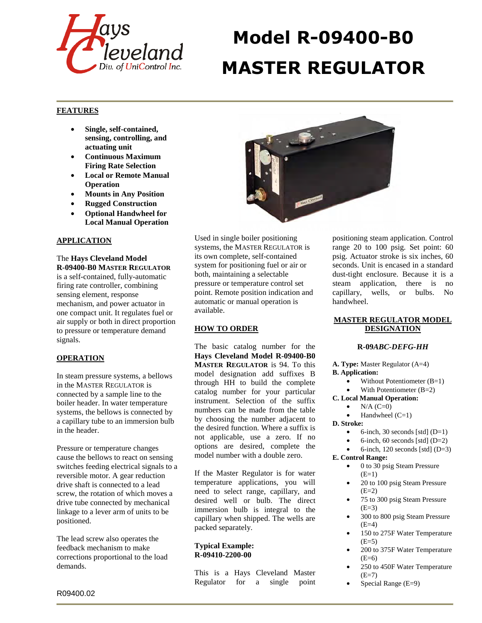

# **Model R-09400-B0 MASTER REGULATOR**

# **FEATURES**

- **Single, self-contained, sensing, controlling, and actuating unit**
- **Continuous Maximum Firing Rate Selection**
- **Local or Remote Manual Operation**
- **Mounts in Any Position**
- **Rugged Construction**
- **Optional Handwheel for Local Manual Operation**

# **APPLICATION**

The **Hays Cleveland Model R-09400-B0 MASTER REGULATOR** is a self-contained, fully-automatic firing rate controller, combining sensing element, response mechanism, and power actuator in one compact unit. It regulates fuel or air supply or both in direct proportion to pressure or temperature demand signals.

## **OPERATION**

In steam pressure systems, a bellows in the MASTER REGULATOR is connected by a sample line to the boiler header. In water temperature systems, the bellows is connected by a capillary tube to an immersion bulb in the header.

Pressure or temperature changes cause the bellows to react on sensing switches feeding electrical signals to a reversible motor. A gear reduction drive shaft is connected to a lead screw, the rotation of which moves a drive tube connected by mechanical linkage to a lever arm of units to be positioned.

The lead screw also operates the feedback mechanism to make corrections proportional to the load demands.



Used in single boiler positioning systems, the MASTER REGULATOR is its own complete, self-contained system for positioning fuel or air or both, maintaining a selectable pressure or temperature control set point. Remote position indication and automatic or manual operation is available.

# **HOW TO ORDER**

The basic catalog number for the **Hays Cleveland Model R-09400-B0 MASTER REGULATOR** is 94. To this model designation add suffixes B through HH to build the complete catalog number for your particular instrument. Selection of the suffix numbers can be made from the table by choosing the number adjacent to the desired function. Where a suffix is not applicable, use a zero. If no options are desired, complete the model number with a double zero.

If the Master Regulator is for water temperature applications, you will need to select range, capillary, and desired well or bulb. The direct immersion bulb is integral to the capillary when shipped. The wells are packed separately.

#### **Typical Example: R-09410-2200-00**

This is a Hays Cleveland Master Regulator for a single point positioning steam application. Control range 20 to 100 psig. Set point: 60 psig. Actuator stroke is six inches, 60 seconds. Unit is encased in a standard dust-tight enclosure. Because it is a steam application, there is no capillary, wells, or bulbs. No handwheel.

## **MASTER REGULATOR MODEL DESIGNATION**

#### **R-09***ABC-DEFG-HH*

**A. Type:** Master Regulator (A=4) **B. Application:** 

- Without Potentiometer (B=1)
- With Potentiometer (B=2)
- **C. Local Manual Operation:** 
	- $N/A (C=0)$
	- Handwheel  $(C=1)$
- **D. Stroke:** 
	- 6-inch, 30 seconds [std]  $(D=1)$
	- 6-inch, 60 seconds [std]  $(D=2)$
	- 6-inch, 120 seconds [std]  $(D=3)$
- **E. Control Range:** 
	- 0 to 30 psig Steam Pressure  $(E=1)$
	- 20 to 100 psig Steam Pressure  $(E=2)$
	- 75 to 300 psig Steam Pressure  $(E=3)$
	- 300 to 800 psig Steam Pressure  $(E=4)$
	- 150 to 275F Water Temperature  $(E=5)$
	- 200 to 375F Water Temperature  $(E=6)$
	- 250 to 450F Water Temperature  $(E=7)$
	- Special Range (E=9)